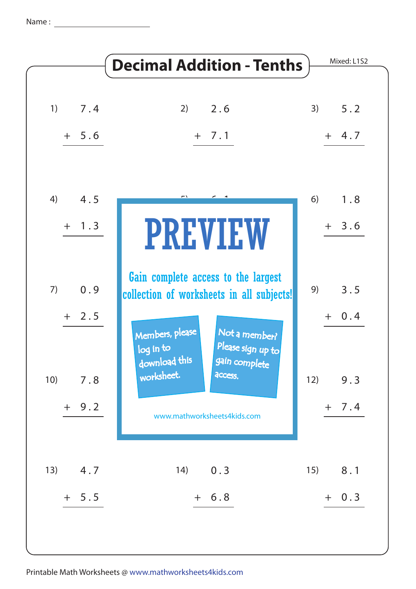